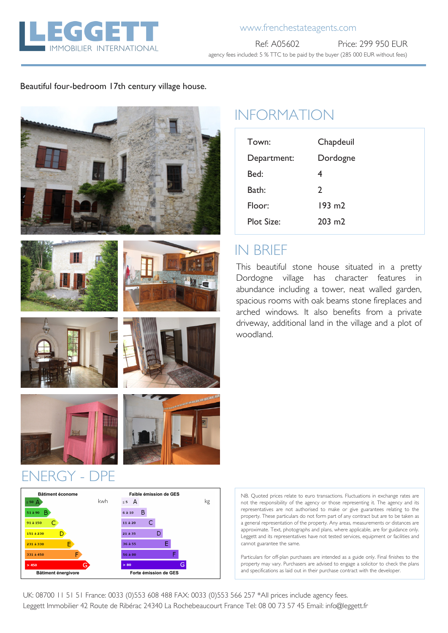

## www.frenchestateagents.com

Ref: A05602 Price: 299 950 EUR agency fees included: 5 % TTC to be paid by the buyer (285 000 EUR without fees)

### Beautiful four-bedroom 17th century village house.







# INFORMATION

| Town:             | Chapdeuil         |
|-------------------|-------------------|
| Department:       | Dordogne          |
| Bed:              | 4                 |
| Bath:             | $\mathcal{P}$     |
| Floor:            | $193 \text{ m}$   |
| <b>Plot Size:</b> | $203 \text{ m}$ 2 |

# IN BRIEF

This beautiful stone house situated in a pretty Dordogne village has character features in abundance including a tower, neat walled garden, spacious rooms with oak beams stone fireplaces and arched windows. It also benefits from a private driveway, additional land in the village and a plot of woodland.









NB. Quoted prices relate to euro transactions. Fluctuations in exchange rates are not the responsibility of the agency or those representing it. The agency and its representatives are not authorised to make or give guarantees relating to the property. These particulars do not form part of any contract but are to be taken as a general representation of the property. Any areas, measurements or distances are approximate. Text, photographs and plans, where applicable, are for guidance only. Leggett and its representatives have not tested services, equipment or facilities and cannot guarantee the same.

Particulars for off-plan purchases are intended as a guide only. Final finishes to the property may vary. Purchasers are advised to engage a solicitor to check the plans and specifications as laid out in their purchase contract with the developer.

UK: 08700 11 51 51 France: 0033 (0)553 608 488 FAX: 0033 (0)553 566 257 \*All prices include agency fees. Leggett Immobilier 42 Route de Ribérac 24340 La Rochebeaucourt France Tel: 08 00 73 57 45 Email: info@leggett.fr